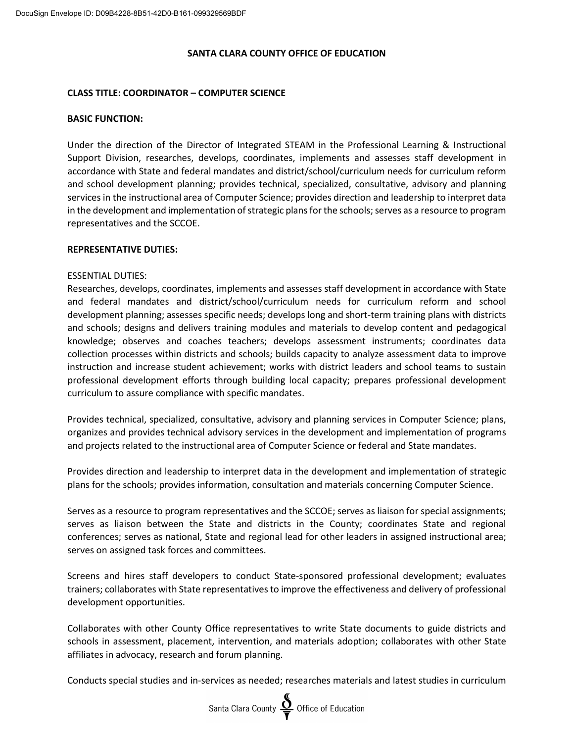#### **SANTA CLARA COUNTY OFFICE OF EDUCATION**

### **CLASS TITLE: COORDINATOR – COMPUTER SCIENCE**

#### **BASIC FUNCTION:**

Under the direction of the Director of Integrated STEAM in the Professional Learning & Instructional Support Division, researches, develops, coordinates, implements and assesses staff development in accordance with State and federal mandates and district/school/curriculum needs for curriculum reform and school development planning; provides technical, specialized, consultative, advisory and planning services in the instructional area of Computer Science; provides direction and leadership to interpret data in the development and implementation of strategic plans for the schools; serves as a resource to program representatives and the SCCOE.

#### **REPRESENTATIVE DUTIES:**

#### ESSENTIAL DUTIES:

Researches, develops, coordinates, implements and assesses staff development in accordance with State and federal mandates and district/school/curriculum needs for curriculum reform and school development planning; assesses specific needs; develops long and short-term training plans with districts and schools; designs and delivers training modules and materials to develop content and pedagogical knowledge; observes and coaches teachers; develops assessment instruments; coordinates data collection processes within districts and schools; builds capacity to analyze assessment data to improve instruction and increase student achievement; works with district leaders and school teams to sustain professional development efforts through building local capacity; prepares professional development curriculum to assure compliance with specific mandates.

Provides technical, specialized, consultative, advisory and planning services in Computer Science; plans, organizes and provides technical advisory services in the development and implementation of programs and projects related to the instructional area of Computer Science or federal and State mandates.

Provides direction and leadership to interpret data in the development and implementation of strategic plans for the schools; provides information, consultation and materials concerning Computer Science.

Serves as a resource to program representatives and the SCCOE; serves as liaison for special assignments; serves as liaison between the State and districts in the County; coordinates State and regional conferences; serves as national, State and regional lead for other leaders in assigned instructional area; serves on assigned task forces and committees.

Screens and hires staff developers to conduct State-sponsored professional development; evaluates trainers; collaborates with State representatives to improve the effectiveness and delivery of professional development opportunities.

Collaborates with other County Office representatives to write State documents to guide districts and schools in assessment, placement, intervention, and materials adoption; collaborates with other State affiliates in advocacy, research and forum planning.

Conducts special studies and in-services as needed; researches materials and latest studies in curriculum

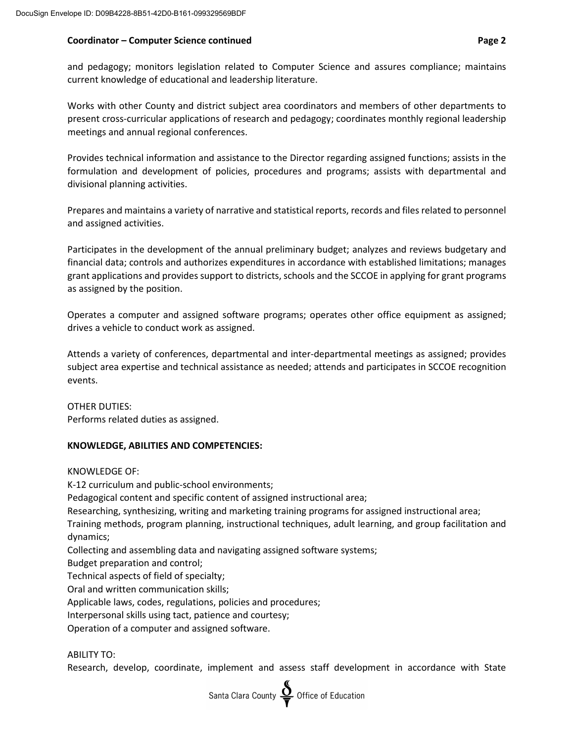### **Coordinator – Computer Science continued Page 2**

and pedagogy; monitors legislation related to Computer Science and assures compliance; maintains current knowledge of educational and leadership literature.

Works with other County and district subject area coordinators and members of other departments to present cross-curricular applications of research and pedagogy; coordinates monthly regional leadership meetings and annual regional conferences.

Provides technical information and assistance to the Director regarding assigned functions; assists in the formulation and development of policies, procedures and programs; assists with departmental and divisional planning activities.

Prepares and maintains a variety of narrative and statistical reports, records and files related to personnel and assigned activities.

Participates in the development of the annual preliminary budget; analyzes and reviews budgetary and financial data; controls and authorizes expenditures in accordance with established limitations; manages grant applications and provides support to districts, schools and the SCCOE in applying for grant programs as assigned by the position.

Operates a computer and assigned software programs; operates other office equipment as assigned; drives a vehicle to conduct work as assigned.

Attends a variety of conferences, departmental and inter-departmental meetings as assigned; provides subject area expertise and technical assistance as needed; attends and participates in SCCOE recognition events.

OTHER DUTIES: Performs related duties as assigned.

# **KNOWLEDGE, ABILITIES AND COMPETENCIES:**

KNOWLEDGE OF:

K-12 curriculum and public-school environments; Pedagogical content and specific content of assigned instructional area; Researching, synthesizing, writing and marketing training programs for assigned instructional area; Training methods, program planning, instructional techniques, adult learning, and group facilitation and dynamics; Collecting and assembling data and navigating assigned software systems; Budget preparation and control; Technical aspects of field of specialty; Oral and written communication skills; Applicable laws, codes, regulations, policies and procedures; Interpersonal skills using tact, patience and courtesy; Operation of a computer and assigned software.

ABILITY TO:

Research, develop, coordinate, implement and assess staff development in accordance with State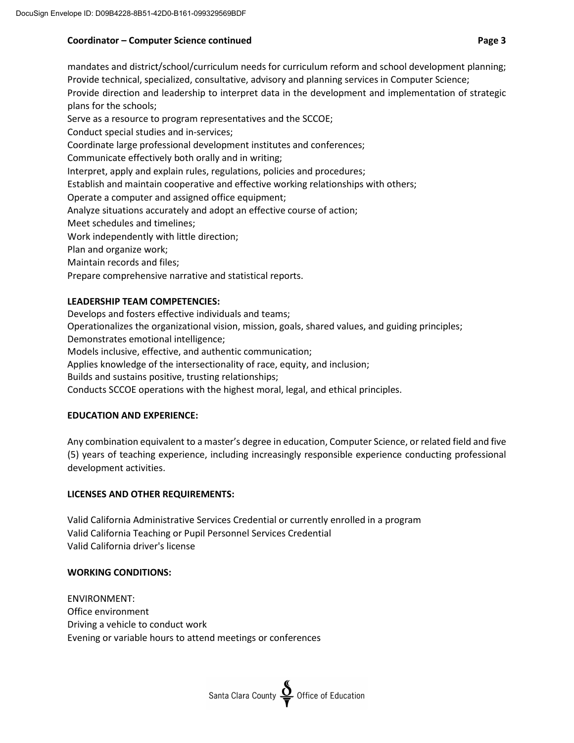# **Coordinator – Computer Science continued Page 3**

mandates and district/school/curriculum needs for curriculum reform and school development planning; Provide technical, specialized, consultative, advisory and planning services in Computer Science; Provide direction and leadership to interpret data in the development and implementation of strategic plans for the schools; Serve as a resource to program representatives and the SCCOE; Conduct special studies and in-services; Coordinate large professional development institutes and conferences; Communicate effectively both orally and in writing; Interpret, apply and explain rules, regulations, policies and procedures; Establish and maintain cooperative and effective working relationships with others; Operate a computer and assigned office equipment; Analyze situations accurately and adopt an effective course of action; Meet schedules and timelines; Work independently with little direction; Plan and organize work; Maintain records and files; Prepare comprehensive narrative and statistical reports.

### **LEADERSHIP TEAM COMPETENCIES:**

Develops and fosters effective individuals and teams;

Operationalizes the organizational vision, mission, goals, shared values, and guiding principles;

Demonstrates emotional intelligence;

Models inclusive, effective, and authentic communication;

Applies knowledge of the intersectionality of race, equity, and inclusion;

Builds and sustains positive, trusting relationships;

Conducts SCCOE operations with the highest moral, legal, and ethical principles.

# **EDUCATION AND EXPERIENCE:**

Any combination equivalent to a master's degree in education, Computer Science, or related field and five (5) years of teaching experience, including increasingly responsible experience conducting professional development activities.

# **LICENSES AND OTHER REQUIREMENTS:**

Valid California Administrative Services Credential or currently enrolled in a program Valid California Teaching or Pupil Personnel Services Credential Valid California driver's license

# **WORKING CONDITIONS:**

ENVIRONMENT: Office environment Driving a vehicle to conduct work Evening or variable hours to attend meetings or conferences